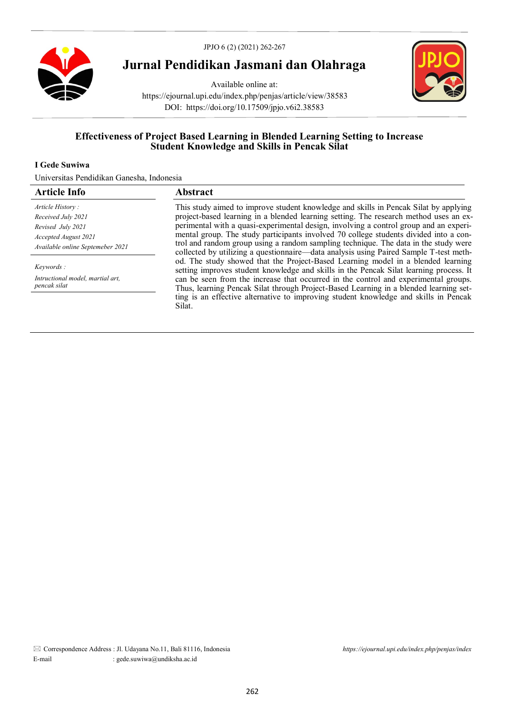

# **Jurnal Pendidikan Jasmani dan Olahraga**

Available online at: https://ejournal.upi.edu/index.php/penjas/article/view/38583 DOI: https://doi.org/10.17509/jpjo.v6i2.38583



# **Effectiveness of Project Based Learning in Blended Learning Setting to Increase Student Knowledge and Skills in Pencak Silat**

# **I Gede Suwiwa**

Universitas Pendidikan Ganesha, Indonesia

| <b>Article Info</b>                              | Abstract                                                                                                                                                                     |
|--------------------------------------------------|------------------------------------------------------------------------------------------------------------------------------------------------------------------------------|
| Article History:                                 | This study aimed to improve student knowledge and skills in Pencak Silat by applying                                                                                         |
| Received July 2021                               | project-based learning in a blended learning setting. The research method uses an ex-                                                                                        |
| Revised July 2021                                | perimental with a quasi-experimental design, involving a control group and an experi-                                                                                        |
| Accepted August 2021                             | mental group. The study participants involved 70 college students divided into a con-                                                                                        |
| Available online Septemeber 2021                 | trol and random group using a random sampling technique. The data in the study were<br>collected by utilizing a questionnaire—data analysis using Paired Sample T-test meth- |
| <i>Keywords</i> :                                | od. The study showed that the Project-Based Learning model in a blended learning<br>setting improves student knowledge and skills in the Pencak Silat learning process. It   |
| Intructional model, martial art,<br>pencak silat | can be seen from the increase that occurred in the control and experimental groups.<br>Thus, learning Pencak Silat through Project-Based Learning in a blended learning set- |
|                                                  | ting is an effective alternative to improving student knowledge and skills in Pencak<br>Silat.                                                                               |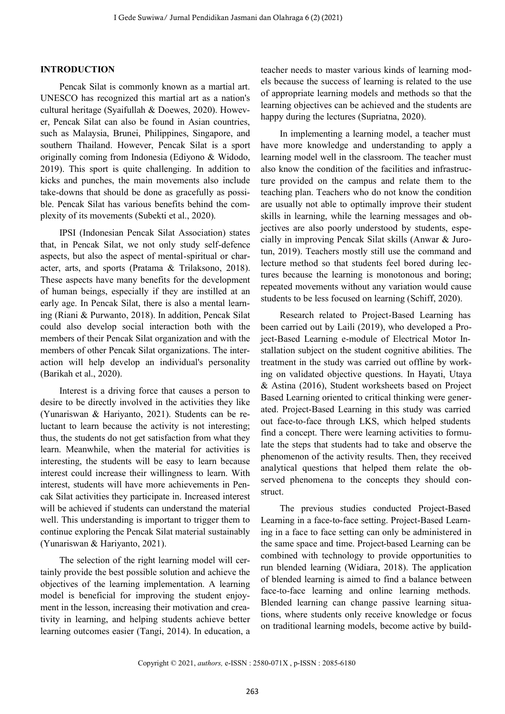# **INTRODUCTION**

Pencak Silat is commonly known as a martial art. UNESCO has recognized this martial art as a nation's cultural heritage (Syaifullah & Doewes, 2020). However, Pencak Silat can also be found in Asian countries, such as Malaysia, Brunei, Philippines, Singapore, and southern Thailand. However, Pencak Silat is a sport originally coming from Indonesia (Ediyono & Widodo, 2019). This sport is quite challenging. In addition to kicks and punches, the main movements also include take-downs that should be done as gracefully as possible. Pencak Silat has various benefits behind the complexity of its movements (Subekti et al., 2020).

IPSI (Indonesian Pencak Silat Association) states that, in Pencak Silat, we not only study self-defence aspects, but also the aspect of mental-spiritual or character, arts, and sports (Pratama & Trilaksono, 2018). These aspects have many benefits for the development of human beings, especially if they are instilled at an early age. In Pencak Silat, there is also a mental learning (Riani & Purwanto, 2018). In addition, Pencak Silat could also develop social interaction both with the members of their Pencak Silat organization and with the members of other Pencak Silat organizations. The interaction will help develop an individual's personality (Barikah et al., 2020).

Interest is a driving force that causes a person to desire to be directly involved in the activities they like (Yunariswan & Hariyanto, 2021). Students can be reluctant to learn because the activity is not interesting; thus, the students do not get satisfaction from what they learn. Meanwhile, when the material for activities is interesting, the students will be easy to learn because interest could increase their willingness to learn. With interest, students will have more achievements in Pencak Silat activities they participate in. Increased interest will be achieved if students can understand the material well. This understanding is important to trigger them to continue exploring the Pencak Silat material sustainably (Yunariswan & Hariyanto, 2021).

The selection of the right learning model will certainly provide the best possible solution and achieve the objectives of the learning implementation. A learning model is beneficial for improving the student enjoyment in the lesson, increasing their motivation and creativity in learning, and helping students achieve better learning outcomes easier (Tangi, 2014). In education, a

teacher needs to master various kinds of learning models because the success of learning is related to the use of appropriate learning models and methods so that the learning objectives can be achieved and the students are happy during the lectures (Supriatna, 2020).

In implementing a learning model, a teacher must have more knowledge and understanding to apply a learning model well in the classroom. The teacher must also know the condition of the facilities and infrastructure provided on the campus and relate them to the teaching plan. Teachers who do not know the condition are usually not able to optimally improve their student skills in learning, while the learning messages and objectives are also poorly understood by students, especially in improving Pencak Silat skills (Anwar & Jurotun, 2019). Teachers mostly still use the command and lecture method so that students feel bored during lectures because the learning is monotonous and boring; repeated movements without any variation would cause students to be less focused on learning (Schiff, 2020).

Research related to Project-Based Learning has been carried out by Laili (2019), who developed a Project-Based Learning e-module of Electrical Motor Installation subject on the student cognitive abilities. The treatment in the study was carried out offline by working on validated objective questions. In Hayati, Utaya & Astina (2016), Student worksheets based on Project Based Learning oriented to critical thinking were generated. Project-Based Learning in this study was carried out face-to-face through LKS, which helped students find a concept. There were learning activities to formulate the steps that students had to take and observe the phenomenon of the activity results. Then, they received analytical questions that helped them relate the observed phenomena to the concepts they should construct.

The previous studies conducted Project-Based Learning in a face-to-face setting. Project-Based Learning in a face to face setting can only be administered in the same space and time. Project-based Learning can be combined with technology to provide opportunities to run blended learning (Widiara, 2018). The application of blended learning is aimed to find a balance between face-to-face learning and online learning methods. Blended learning can change passive learning situations, where students only receive knowledge or focus on traditional learning models, become active by build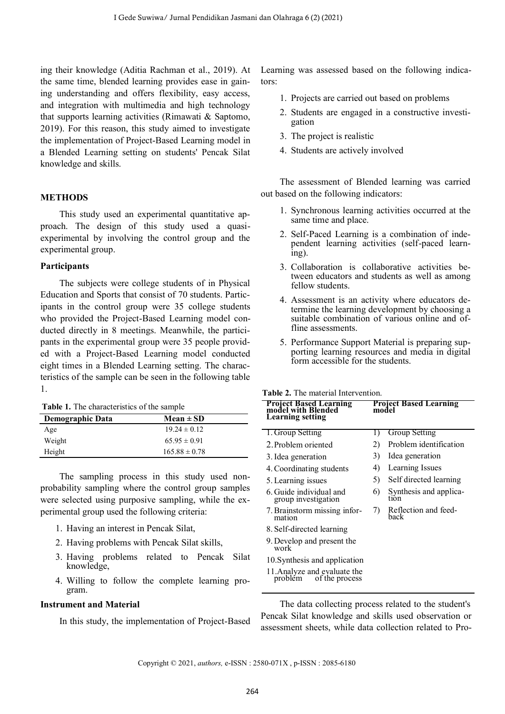ing their knowledge (Aditia Rachman et al., 2019). At the same time, blended learning provides ease in gaining understanding and offers flexibility, easy access, and integration with multimedia and high technology that supports learning activities (Rimawati & Saptomo, 2019). For this reason, this study aimed to investigate the implementation of Project-Based Learning model in a Blended Learning setting on students' Pencak Silat knowledge and skills.

### **METHODS**

This study used an experimental quantitative approach. The design of this study used a quasiexperimental by involving the control group and the experimental group.

# **Participants**

The subjects were college students of in Physical Education and Sports that consist of 70 students. Participants in the control group were 35 college students who provided the Project-Based Learning model conducted directly in 8 meetings. Meanwhile, the participants in the experimental group were 35 people provided with a Project-Based Learning model conducted eight times in a Blended Learning setting. The characteristics of the sample can be seen in the following table 1.

**Table 1.** The characteristics of the sample

| <b>Demographic Data</b> | $Mean \pm SD$     |  |
|-------------------------|-------------------|--|
| Age                     | $19.24 \pm 0.12$  |  |
| Weight                  | $65.95 \pm 0.91$  |  |
| Height                  | $165.88 \pm 0.78$ |  |

The sampling process in this study used nonprobability sampling where the control group samples were selected using purposive sampling, while the experimental group used the following criteria:

- 1. Having an interest in Pencak Silat,
- 2. Having problems with Pencak Silat skills,
- 3. Having problems related to Pencak Silat knowledge,
- 4. Willing to follow the complete learning program.

#### **Instrument and Material**

In this study, the implementation of Project-Based

Learning was assessed based on the following indicators:

- 1. Projects are carried out based on problems
- 2. Students are engaged in a constructive investigation
- 3. The project is realistic
- 4. Students are actively involved

The assessment of Blended learning was carried out based on the following indicators:

- 1. Synchronous learning activities occurred at the same time and place.
- 2. Self-Paced Learning is a combination of independent learning activities (self-paced learning).
- 3. Collaboration is collaborative activities between educators and students as well as among fellow students.
- 4. Assessment is an activity where educators determine the learning development by choosing a suitable combination of various online and offline assessments.
- 5. Performance Support Material is preparing supporting learning resources and media in digital form accessible for the students.

# **Table 2.** The material Intervention.

| <b>Project Based Learning</b><br>model with Blended<br><b>Learning</b> setting |    | <b>Project Based Learning</b><br>model |  |  |  |
|--------------------------------------------------------------------------------|----|----------------------------------------|--|--|--|
| 1. Group Setting                                                               |    | <b>Group Setting</b>                   |  |  |  |
| 2. Problem oriented                                                            | 2) | Problem identification                 |  |  |  |
| 3. Idea generation                                                             | 3) | Idea generation                        |  |  |  |
| 4. Coordinating students                                                       | 4) | Learning Issues                        |  |  |  |
| 5. Learning issues                                                             | 5) | Self directed learning                 |  |  |  |
| 6. Guide individual and<br>group investigation                                 | 6) | Synthesis and applica-<br>tıon         |  |  |  |
| 7. Brainstorm missing infor-<br>mation                                         | 7) | Reflection and feed-<br>back           |  |  |  |
| 8. Self-directed learning                                                      |    |                                        |  |  |  |
| 9. Develop and present the<br>work                                             |    |                                        |  |  |  |
| 10. Synthesis and application                                                  |    |                                        |  |  |  |

11. Analyze and evaluate the problem of the process of the process

The data collecting process related to the student's Pencak Silat knowledge and skills used observation or assessment sheets, while data collection related to Pro-

Copyright © 2021, *authors,* e-ISSN : 2580-071X , p-ISSN : 2085-6180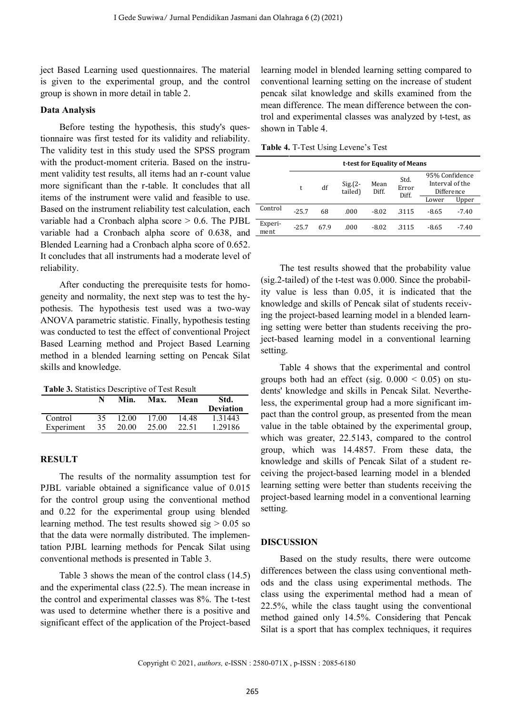ject Based Learning used questionnaires. The material is given to the experimental group, and the control group is shown in more detail in table 2.

## **Data Analysis**

Before testing the hypothesis, this study's questionnaire was first tested for its validity and reliability. The validity test in this study used the SPSS program with the product-moment criteria. Based on the instrument validity test results, all items had an r-count value more significant than the r-table. It concludes that all items of the instrument were valid and feasible to use. Based on the instrument reliability test calculation, each variable had a Cronbach alpha score  $> 0.6$ . The PJBL variable had a Cronbach alpha score of 0.638, and Blended Learning had a Cronbach alpha score of 0.652. It concludes that all instruments had a moderate level of reliability.

After conducting the prerequisite tests for homogeneity and normality, the next step was to test the hypothesis. The hypothesis test used was a two-way ANOVA parametric statistic. Finally, hypothesis testing was conducted to test the effect of conventional Project Based Learning method and Project Based Learning method in a blended learning setting on Pencak Silat skills and knowledge.

**Table 3.** Statistics Descriptive of Test Result

|                       |           | Min.           | Max.           | Mean           | Std.<br><b>Deviation</b> |
|-----------------------|-----------|----------------|----------------|----------------|--------------------------|
| Control<br>Experiment | 35.<br>35 | 12.00<br>20.00 | 17.00<br>25.00 | 14.48<br>22.51 | 1.31443<br>1.29186       |
|                       |           |                |                |                |                          |

#### **RESULT**

The results of the normality assumption test for PJBL variable obtained a significance value of 0.015 for the control group using the conventional method and 0.22 for the experimental group using blended learning method. The test results showed sig  $> 0.05$  so that the data were normally distributed. The implementation PJBL learning methods for Pencak Silat using conventional methods is presented in Table 3.

Table 3 shows the mean of the control class (14.5) and the experimental class (22.5). The mean increase in the control and experimental classes was 8%. The t-test was used to determine whether there is a positive and significant effect of the application of the Project-based learning model in blended learning setting compared to conventional learning setting on the increase of student pencak silat knowledge and skills examined from the mean difference. The mean difference between the control and experimental classes was analyzed by t-test, as shown in Table 4.

**Table 4.** T-Test Using Levene's Test

|                 |         |      | t-test for Equality of Means |               |                        |                                   |            |  |
|-----------------|---------|------|------------------------------|---------------|------------------------|-----------------------------------|------------|--|
|                 | t       | df   | $Sig(2 -$<br>tailed)         | Mean<br>Diff. | Std.<br>Error<br>Diff. | 95% Confidence<br>Interval of the | Difference |  |
|                 |         |      |                              |               |                        | Lower                             | Upper      |  |
| Control         | $-25.7$ | 68   | .000                         | $-8.02$       | .3115                  | -8.65                             | $-7.40$    |  |
| Experi-<br>ment | $-25.7$ | 67.9 | .000                         | -8.02         | -3115                  | -8.65                             | $-7.40$    |  |

The test results showed that the probability value (sig.2-tailed) of the t-test was 0.000. Since the probability value is less than 0.05, it is indicated that the knowledge and skills of Pencak silat of students receiving the project-based learning model in a blended learning setting were better than students receiving the project-based learning model in a conventional learning setting.

Table 4 shows that the experimental and control groups both had an effect (sig.  $0.000 \le 0.05$ ) on students' knowledge and skills in Pencak Silat. Nevertheless, the experimental group had a more significant impact than the control group, as presented from the mean value in the table obtained by the experimental group, which was greater, 22.5143, compared to the control group, which was 14.4857. From these data, the knowledge and skills of Pencak Silat of a student receiving the project-based learning model in a blended learning setting were better than students receiving the project-based learning model in a conventional learning setting.

#### **DISCUSSION**

Based on the study results, there were outcome differences between the class using conventional methods and the class using experimental methods. The class using the experimental method had a mean of 22.5%, while the class taught using the conventional method gained only 14.5%. Considering that Pencak Silat is a sport that has complex techniques, it requires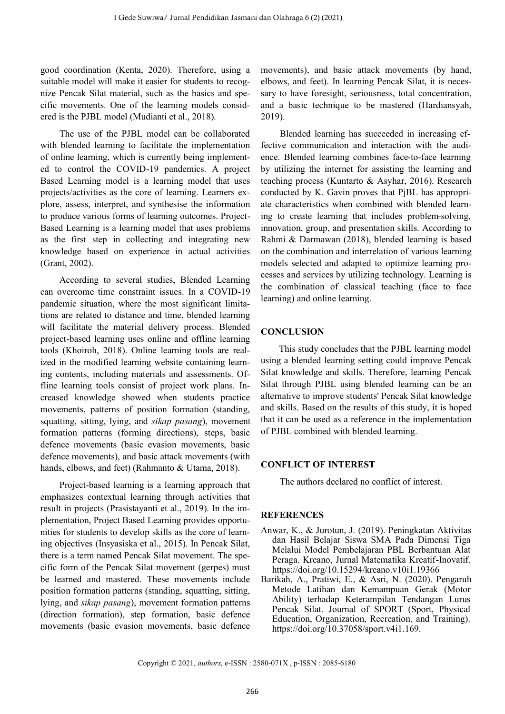good coordination (Kenta, 2020). Therefore, using a suitable model will make it easier for students to recognize Pencak Silat material, such as the basics and specific movements. One of the learning models considered is the PJBL model (Mudianti et al., 2018).

The use of the PJBL model can be collaborated with blended learning to facilitate the implementation of online learning, which is currently being implemented to control the COVID-19 pandemics. A project Based Learning model is a learning model that uses projects/activities as the core of learning. Learners explore, assess, interpret, and synthesise the information to produce various forms of learning outcomes. Project-Based Learning is a learning model that uses problems as the first step in collecting and integrating new knowledge based on experience in actual activities (Grant, 2002).

According to several studies, Blended Learning can overcome time constraint issues. In a COVID-19 pandemic situation, where the most significant limitations are related to distance and time, blended learning will facilitate the material delivery process. Blended project-based learning uses online and offline learning tools (Khoiroh, 2018). Online learning tools are realized in the modified learning website containing learning contents, including materials and assessments. Offline learning tools consist of project work plans. Increased knowledge showed when students practice movements, patterns of position formation (standing, squatting, sitting, lying, and *sikap pasang*), movement formation patterns (forming directions), steps, basic defence movements (basic evasion movements, basic defence movements), and basic attack movements (with hands, elbows, and feet) (Rahmanto & Utama, 2018).

Project-based learning is a learning approach that emphasizes contextual learning through activities that result in projects (Prasistayanti et al., 2019). In the implementation, Project Based Learning provides opportunities for students to develop skills as the core of learning objectives (Insyasiska et al., 2015). In Pencak Silat, there is a term named Pencak Silat movement. The specific form of the Pencak Silat movement (gerpes) must be learned and mastered. These movements include position formation patterns (standing, squatting, sitting, lying, and *sikap pasang*), movement formation patterns (direction formation), step formation, basic defence movements (basic evasion movements, basic defence

movements), and basic attack movements (by hand, elbows, and feet). In learning Pencak Silat, it is necessary to have foresight, seriousness, total concentration, and a basic technique to be mastered (Hardiansyah, 2019).

Blended learning has succeeded in increasing effective communication and interaction with the audience. Blended learning combines face-to-face learning by utilizing the internet for assisting the learning and teaching process (Kuntarto & Asyhar, 2016). Research conducted by K. Gavin proves that PjBL has appropriate characteristics when combined with blended learning to create learning that includes problem-solving, innovation, group, and presentation skills. According to Rahmi & Darmawan (2018), blended learning is based on the combination and interrelation of various learning models selected and adapted to optimize learning processes and services by utilizing technology. Learning is the combination of classical teaching (face to face learning) and online learning.

# **CONCLUSION**

This study concludes that the PJBL learning model using a blended learning setting could improve Pencak Silat knowledge and skills. Therefore, learning Pencak Silat through PJBL using blended learning can be an alternative to improve students' Pencak Silat knowledge and skills. Based on the results of this study, it is hoped that it can be used as a reference in the implementation of PJBL combined with blended learning.

# **CONFLICT OF INTEREST**

The authors declared no conflict of interest.

# **REFERENCES**

- Anwar, K., & Jurotun, J. (2019). Peningkatan Aktivitas dan Hasil Belajar Siswa SMA Pada Dimensi Tiga Melalui Model Pembelajaran PBL Berbantuan Alat Peraga. Kreano, Jurnal Matematika Kreatif-Inovatif. https://doi.org/10.15294/kreano.v10i1.19366
- Barikah, A., Pratiwi, E., & Asri, N. (2020). Pengaruh Metode Latihan dan Kemampuan Gerak (Motor Ability) terhadap Keterampilan Tendangan Lurus Pencak Silat. Journal of SPORT (Sport, Physical Education, Organization, Recreation, and Training). https://doi.org/10.37058/sport.v4i1.169.

Copyright © 2021, *authors,* e-ISSN : 2580-071X , p-ISSN : 2085-6180